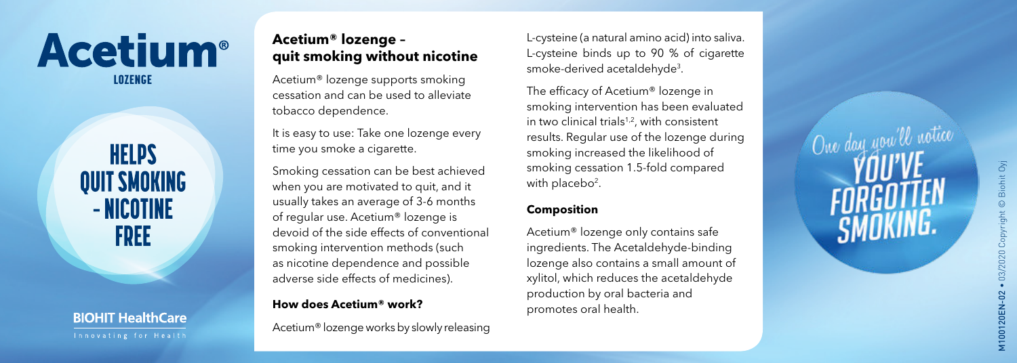# **Acetium**<sup>®</sup> LOZENGE

**HELPS QUIT SMOKING** - NICOTINE **FREE** 

**BIOHIT HealthCare** 

# **Acetium® lozenge – quit smoking without nicotine**

Acetium® lozenge supports smoking cessation and can be used to alleviate tobacco dependence.

It is easy to use: Take one lozenge every time you smoke a cigarette.

Smoking cessation can be best achieved when you are motivated to quit, and it usually takes an average of 3-6 months of regular use. Acetium® lozenge is devoid of the side effects of conventional smoking intervention methods (such as nicotine dependence and possible adverse side effects of medicines).

# **How does Acetium® work?**

Acetium® lozenge works by slowly releasing

L-cysteine (a natural amino acid) into saliva. L-cysteine binds up to 90 % of cigarette smoke-derived acetaldehyde 3 .

The efficacy of Acetium® lozenge in smoking intervention has been evaluated in two clinical trials $1,2$ , with consistent results. Regular use of the lozenge during smoking increased the likelihood of smoking cessation 1.5-fold compared with placebo<sup>2</sup>.

# **Composition**

Acetium® lozenge only contains safe ingredients. The Acetaldehyde-binding lozenge also contains a small amount of xylitol, which reduces the acetaldehyde production by oral bacteria and promotes oral health.